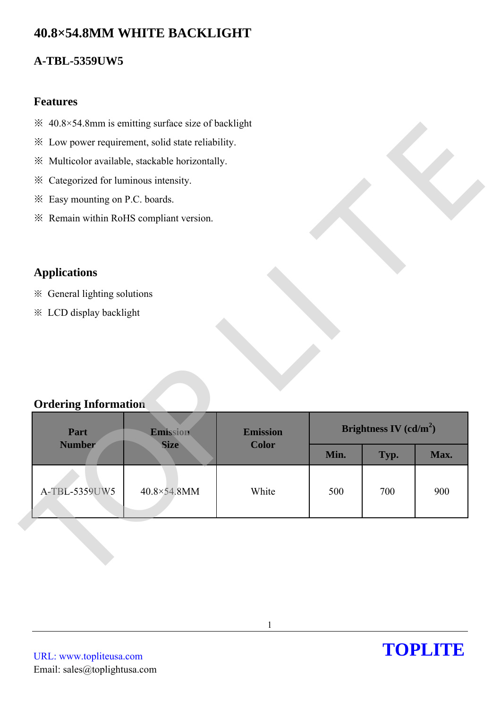# **40.8×54.8MM WHITE BACKLIGHT**

### **A-TBL-5359UW5**

### **Features**

- $\frac{36}{24}$  40.8×54.8mm is emitting surface size of backlight
- ※ Low power requirement, solid state reliability.
- ※ Multicolor available, stackable horizontally.
- ※ Categorized for luminous intensity.
- ※ Easy mounting on P.C. boards.
- ※ Remain within RoHS compliant version.

### **Applications**

### **Ordering Information**

| * Low power requirement, solid state reliability. |             |                          |      |      |      |
|---------------------------------------------------|-------------|--------------------------|------|------|------|
| ※ Multicolor available, stackable horizontally.   |             |                          |      |      |      |
| * Categorized for luminous intensity.             |             |                          |      |      |      |
| * Easy mounting on P.C. boards.                   |             |                          |      |      |      |
| * Remain within RoHS compliant version.           |             |                          |      |      |      |
|                                                   |             |                          |      |      |      |
|                                                   |             |                          |      |      |      |
| <b>Applications</b>                               |             |                          |      |      |      |
| ※ General lighting solutions                      |             |                          |      |      |      |
| <b>※ LCD display backlight</b>                    |             |                          |      |      |      |
|                                                   |             |                          |      |      |      |
|                                                   |             |                          |      |      |      |
|                                                   |             |                          |      |      |      |
|                                                   |             |                          |      |      |      |
| <b>Ordering Information</b>                       |             |                          |      |      |      |
| Part<br><b>Emission</b><br>Emission               |             | Brightness IV $(cd/m^2)$ |      |      |      |
| <b>Number</b>                                     | <b>Size</b> | <b>Color</b>             |      |      |      |
|                                                   |             |                          | Min. | Typ. | Max. |
|                                                   |             |                          |      |      |      |
| A-TBL-5359UW5                                     | 40.8×54.8MM | White                    | 500  | 700  | 900  |
|                                                   |             |                          |      |      |      |
|                                                   |             |                          |      |      |      |
|                                                   |             |                          |      |      |      |
|                                                   |             |                          |      |      |      |
|                                                   |             |                          |      |      |      |

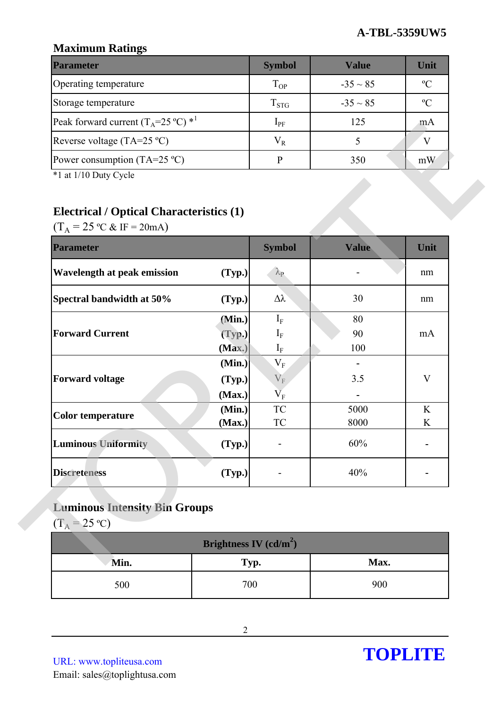### **Maximum Ratings**

| <b>Parameter</b>                                        | <b>Symbol</b> | Value         | Unit          |
|---------------------------------------------------------|---------------|---------------|---------------|
| Operating temperature                                   | $T_{OP}$      | $-35 \sim 85$ | $\rm ^oC$     |
| Storage temperature                                     | $T_{STG}$     | $-35 \sim 85$ | $\mathcal{O}$ |
| Peak forward current $(T_A=25 \degree C)$ <sup>*1</sup> | $1_{\rm PF}$  | 125           | m A           |
| Reverse voltage (TA=25 $^{\circ}$ C)                    | $V_R$         |               |               |
| Power consumption (TA=25 $^{\circ}$ C)                  |               | 350           | mW            |

# **Electrical / Optical Characteristics (1)**

| $(T_A = 25 \text{ °C} \& \text{ IF} = 20 \text{ mA})$<br><b>Parameter</b> |        | <b>Symbol</b>                      | <b>Value</b> | Unit         |
|---------------------------------------------------------------------------|--------|------------------------------------|--------------|--------------|
| Wavelength at peak emission                                               | (Typ.) | $\lambda_{\rm P}$                  |              | nm           |
| Spectral bandwidth at 50%                                                 | (Typ.) | Δλ                                 | 30           | nm           |
|                                                                           | (Min.) | $I_F$                              | 80           |              |
| <b>Forward Current</b>                                                    | (Typ.) | $I_F$                              | 90           | mA           |
|                                                                           | (Max.) | $\mathbf{I}_{\text{F}}$            | 100          |              |
|                                                                           | (Min.) | $\rm V_F$                          |              |              |
| <b>Forward voltage</b>                                                    | (Typ.) | $V_F$                              | 3.5          | $\mathbf{V}$ |
|                                                                           | (Max.) | $\overline{\mathbf{V}}_{\text{F}}$ |              |              |
| <b>Color temperature</b>                                                  | (Min.) | TC                                 | 5000         | K            |
|                                                                           | (Max.) | TC                                 | 8000         | K            |
| <b>Luminous Uniformity</b>                                                | (Typ.) |                                    | 60%          |              |
| <b>Discreteness</b>                                                       | (Typ.) |                                    | 40%          |              |

# **Luminous Intensity Bin Groups**

| Brightness IV $(cd/m^2)$ |      |      |  |  |
|--------------------------|------|------|--|--|
| Min.                     | Typ. | Max. |  |  |
| 500                      | 700  | 900  |  |  |

URL: www.topliteusa.com Email: sales@toplightusa.com

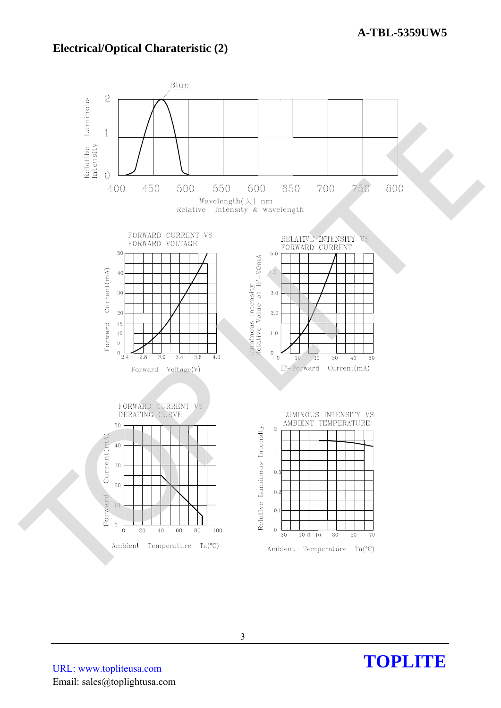### **Electrical/Optical Charateristic (2)**



TOPLITE

URL: www.topliteusa.com Email: sales@toplightusa.com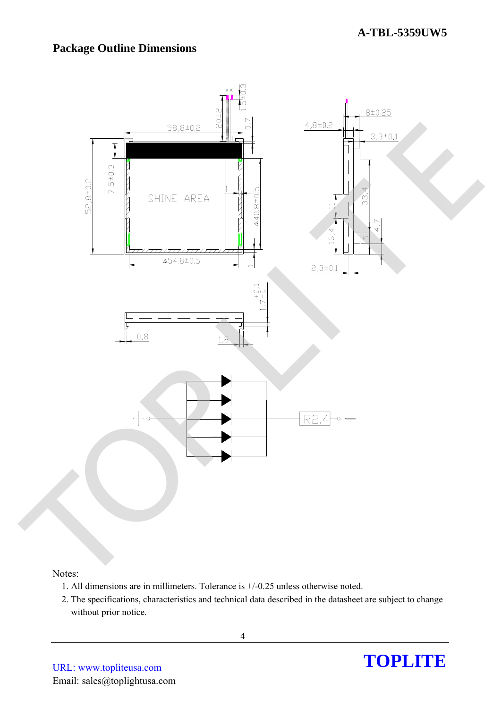# **Package Outline Dimensions**



#### Notes:

- 1. All dimensions are in millimeters. Tolerance is +/-0.25 unless otherwise noted.
- 2. The specifications, characteristics and technical data described in the datasheet are subject to change without prior notice.

URL: www.topliteusa.com Email: sales@toplightusa.com